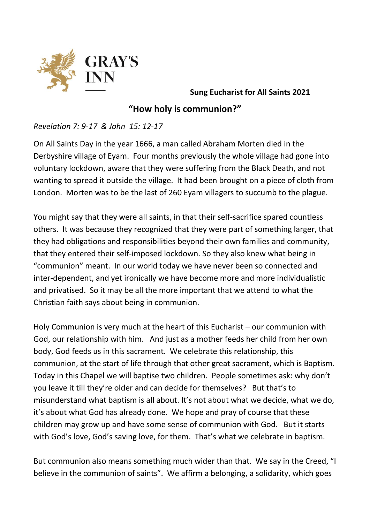

**Sung Eucharist for All Saints 2021**

**"How holy is communion?"**

*Revelation 7: 9-17 & John 15: 12-17*

On All Saints Day in the year 1666, a man called Abraham Morten died in the Derbyshire village of Eyam. Four months previously the whole village had gone into voluntary lockdown, aware that they were suffering from the Black Death, and not wanting to spread it outside the village. It had been brought on a piece of cloth from London. Morten was to be the last of 260 Eyam villagers to succumb to the plague.

You might say that they were all saints, in that their self-sacrifice spared countless others. It was because they recognized that they were part of something larger, that they had obligations and responsibilities beyond their own families and community, that they entered their self-imposed lockdown. So they also knew what being in "communion" meant. In our world today we have never been so connected and inter-dependent, and yet ironically we have become more and more individualistic and privatised. So it may be all the more important that we attend to what the Christian faith says about being in communion.

Holy Communion is very much at the heart of this Eucharist – our communion with God, our relationship with him. And just as a mother feeds her child from her own body, God feeds us in this sacrament. We celebrate this relationship, this communion, at the start of life through that other great sacrament, which is Baptism. Today in this Chapel we will baptise two children. People sometimes ask: why don't you leave it till they're older and can decide for themselves? But that's to misunderstand what baptism is all about. It's not about what we decide, what we do, it's about what God has already done. We hope and pray of course that these children may grow up and have some sense of communion with God. But it starts with God's love, God's saving love, for them. That's what we celebrate in baptism.

But communion also means something much wider than that. We say in the Creed, "I believe in the communion of saints". We affirm a belonging, a solidarity, which goes